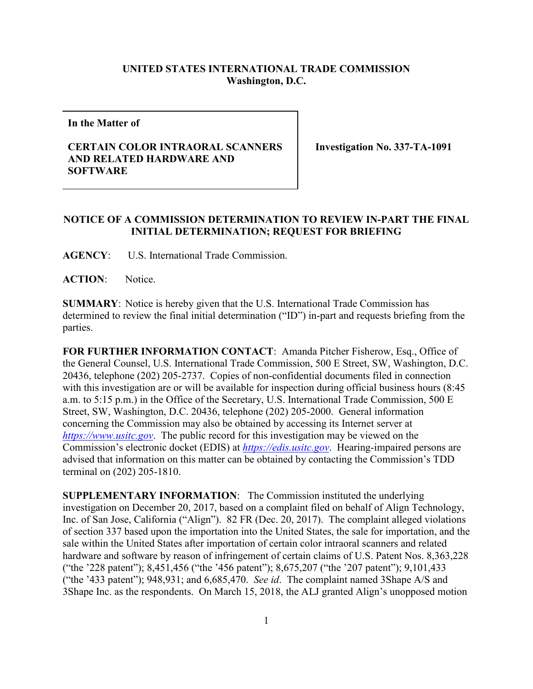## **UNITED STATES INTERNATIONAL TRADE COMMISSION Washington, D.C.**

**In the Matter of**

## **CERTAIN COLOR INTRAORAL SCANNERS AND RELATED HARDWARE AND SOFTWARE**

**Investigation No. 337-TA-1091**

## **NOTICE OF A COMMISSION DETERMINATION TO REVIEW IN-PART THE FINAL INITIAL DETERMINATION; REQUEST FOR BRIEFING**

**AGENCY**: U.S. International Trade Commission.

**ACTION**: Notice.

**SUMMARY**: Notice is hereby given that the U.S. International Trade Commission has determined to review the final initial determination ("ID") in-part and requests briefing from the parties.

**FOR FURTHER INFORMATION CONTACT**: Amanda Pitcher Fisherow, Esq., Office of the General Counsel, U.S. International Trade Commission, 500 E Street, SW, Washington, D.C. 20436, telephone (202) 205-2737. Copies of non-confidential documents filed in connection with this investigation are or will be available for inspection during official business hours (8:45 a.m. to 5:15 p.m.) in the Office of the Secretary, U.S. International Trade Commission, 500 E Street, SW, Washington, D.C. 20436, telephone (202) 205-2000. General information concerning the Commission may also be obtained by accessing its Internet server at *[https://www.usitc.gov](https://www.usitc.gov/)*. The public record for this investigation may be viewed on the Commission's electronic docket (EDIS) at *[https://edis.usitc.gov](https://edis.usitc.gov/)*. Hearing-impaired persons are advised that information on this matter can be obtained by contacting the Commission's TDD terminal on (202) 205-1810.

**SUPPLEMENTARY INFORMATION**: The Commission instituted the underlying investigation on December 20, 2017, based on a complaint filed on behalf of Align Technology, Inc. of San Jose, California ("Align"). 82 FR (Dec. 20, 2017). The complaint alleged violations of section 337 based upon the importation into the United States, the sale for importation, and the sale within the United States after importation of certain color intraoral scanners and related hardware and software by reason of infringement of certain claims of U.S. Patent Nos. 8,363,228 ("the '228 patent"); 8,451,456 ("the '456 patent"); 8,675,207 ("the '207 patent"); 9,101,433 ("the '433 patent"); 948,931; and 6,685,470. *See id*. The complaint named 3Shape A/S and 3Shape Inc. as the respondents. On March 15, 2018, the ALJ granted Align's unopposed motion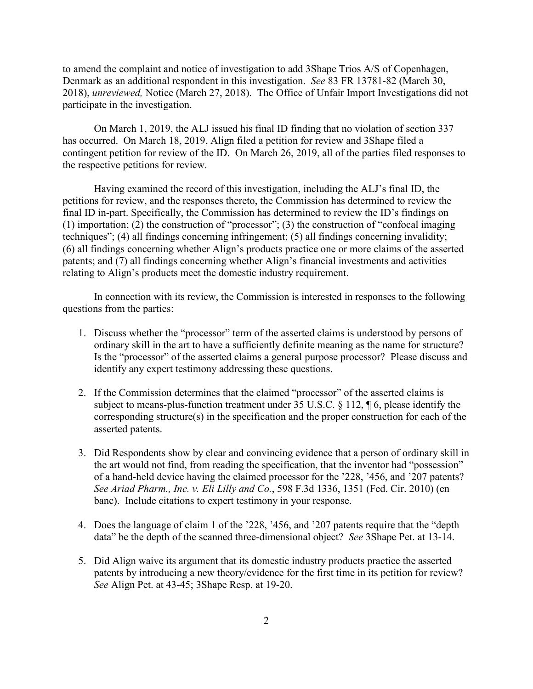to amend the complaint and notice of investigation to add 3Shape Trios A/S of Copenhagen, Denmark as an additional respondent in this investigation. *See* 83 FR 13781-82 (March 30, 2018), *unreviewed,* Notice (March 27, 2018). The Office of Unfair Import Investigations did not participate in the investigation.

On March 1, 2019, the ALJ issued his final ID finding that no violation of section 337 has occurred. On March 18, 2019, Align filed a petition for review and 3Shape filed a contingent petition for review of the ID. On March 26, 2019, all of the parties filed responses to the respective petitions for review.

Having examined the record of this investigation, including the ALJ's final ID, the petitions for review, and the responses thereto, the Commission has determined to review the final ID in-part. Specifically, the Commission has determined to review the ID's findings on (1) importation; (2) the construction of "processor"; (3) the construction of "confocal imaging techniques"; (4) all findings concerning infringement; (5) all findings concerning invalidity; (6) all findings concerning whether Align's products practice one or more claims of the asserted patents; and (7) all findings concerning whether Align's financial investments and activities relating to Align's products meet the domestic industry requirement.

In connection with its review, the Commission is interested in responses to the following questions from the parties:

- 1. Discuss whether the "processor" term of the asserted claims is understood by persons of ordinary skill in the art to have a sufficiently definite meaning as the name for structure? Is the "processor" of the asserted claims a general purpose processor? Please discuss and identify any expert testimony addressing these questions.
- 2. If the Commission determines that the claimed "processor" of the asserted claims is subject to means-plus-function treatment under 35 U.S.C. § 112, ¶ 6, please identify the corresponding structure(s) in the specification and the proper construction for each of the asserted patents.
- 3. Did Respondents show by clear and convincing evidence that a person of ordinary skill in the art would not find, from reading the specification, that the inventor had "possession" of a hand-held device having the claimed processor for the '228, '456, and '207 patents? *See Ariad Pharm., Inc. v. Eli Lilly and Co.*, 598 F.3d 1336, 1351 (Fed. Cir. 2010) (en banc). Include citations to expert testimony in your response.
- 4. Does the language of claim 1 of the '228, '456, and '207 patents require that the "depth data" be the depth of the scanned three-dimensional object? *See* 3Shape Pet. at 13-14.
- 5. Did Align waive its argument that its domestic industry products practice the asserted patents by introducing a new theory/evidence for the first time in its petition for review? *See* Align Pet. at 43-45; 3Shape Resp. at 19-20.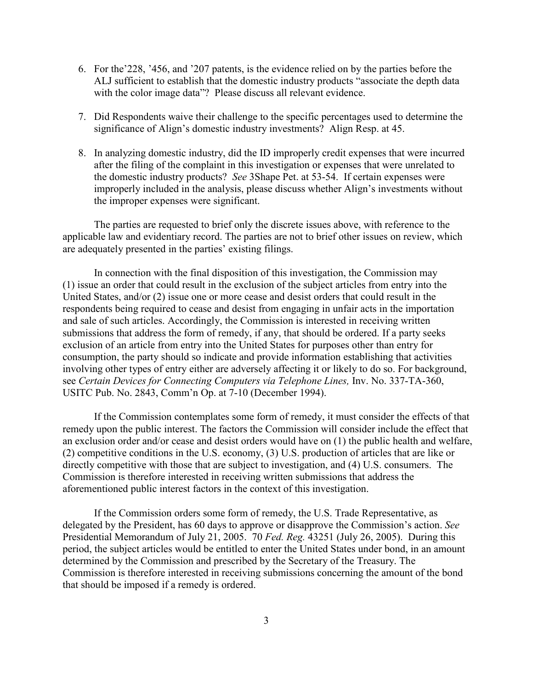- 6. For the'228, '456, and '207 patents, is the evidence relied on by the parties before the ALJ sufficient to establish that the domestic industry products "associate the depth data with the color image data"? Please discuss all relevant evidence.
- 7. Did Respondents waive their challenge to the specific percentages used to determine the significance of Align's domestic industry investments? Align Resp. at 45.
- 8. In analyzing domestic industry, did the ID improperly credit expenses that were incurred after the filing of the complaint in this investigation or expenses that were unrelated to the domestic industry products? *See* 3Shape Pet. at 53-54. If certain expenses were improperly included in the analysis, please discuss whether Align's investments without the improper expenses were significant.

The parties are requested to brief only the discrete issues above, with reference to the applicable law and evidentiary record. The parties are not to brief other issues on review, which are adequately presented in the parties' existing filings.

In connection with the final disposition of this investigation, the Commission may (1) issue an order that could result in the exclusion of the subject articles from entry into the United States, and/or (2) issue one or more cease and desist orders that could result in the respondents being required to cease and desist from engaging in unfair acts in the importation and sale of such articles. Accordingly, the Commission is interested in receiving written submissions that address the form of remedy, if any, that should be ordered. If a party seeks exclusion of an article from entry into the United States for purposes other than entry for consumption, the party should so indicate and provide information establishing that activities involving other types of entry either are adversely affecting it or likely to do so. For background, see *Certain Devices for Connecting Computers via Telephone Lines,* Inv. No. 337-TA-360, USITC Pub. No. 2843, Comm'n Op. at 7-10 (December 1994).

If the Commission contemplates some form of remedy, it must consider the effects of that remedy upon the public interest. The factors the Commission will consider include the effect that an exclusion order and/or cease and desist orders would have on (1) the public health and welfare, (2) competitive conditions in the U.S. economy, (3) U.S. production of articles that are like or directly competitive with those that are subject to investigation, and (4) U.S. consumers. The Commission is therefore interested in receiving written submissions that address the aforementioned public interest factors in the context of this investigation.

If the Commission orders some form of remedy, the U.S. Trade Representative, as delegated by the President, has 60 days to approve or disapprove the Commission's action. *See*  Presidential Memorandum of July 21, 2005. 70 *Fed. Reg.* 43251 (July 26, 2005). During this period, the subject articles would be entitled to enter the United States under bond, in an amount determined by the Commission and prescribed by the Secretary of the Treasury. The Commission is therefore interested in receiving submissions concerning the amount of the bond that should be imposed if a remedy is ordered.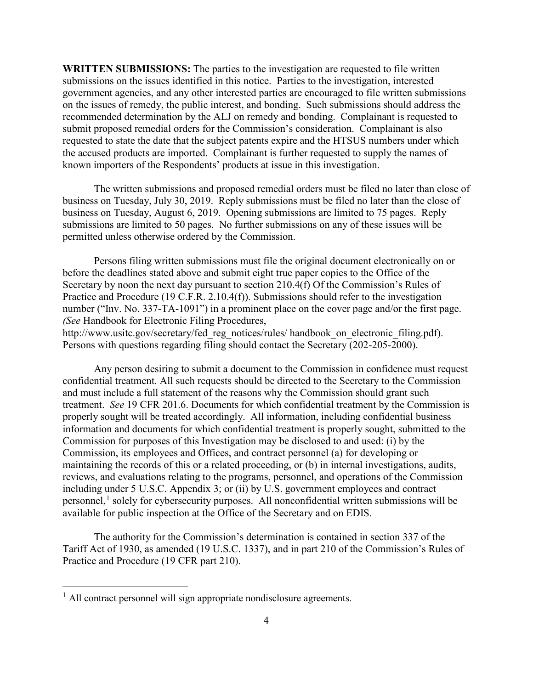**WRITTEN SUBMISSIONS:** The parties to the investigation are requested to file written submissions on the issues identified in this notice. Parties to the investigation, interested government agencies, and any other interested parties are encouraged to file written submissions on the issues of remedy, the public interest, and bonding. Such submissions should address the recommended determination by the ALJ on remedy and bonding. Complainant is requested to submit proposed remedial orders for the Commission's consideration. Complainant is also requested to state the date that the subject patents expire and the HTSUS numbers under which the accused products are imported. Complainant is further requested to supply the names of known importers of the Respondents' products at issue in this investigation.

The written submissions and proposed remedial orders must be filed no later than close of business on Tuesday, July 30, 2019. Reply submissions must be filed no later than the close of business on Tuesday, August 6, 2019. Opening submissions are limited to 75 pages. Reply submissions are limited to 50 pages. No further submissions on any of these issues will be permitted unless otherwise ordered by the Commission.

Persons filing written submissions must file the original document electronically on or before the deadlines stated above and submit eight true paper copies to the Office of the Secretary by noon the next day pursuant to section 210.4(f) Of the Commission's Rules of Practice and Procedure (19 C.F.R. 2.10.4(f)). Submissions should refer to the investigation number ("Inv. No. 337-TA-1091") in a prominent place on the cover page and/or the first page. *(See* Handbook for Electronic Filing Procedures,

http://www.usitc.gov/secretary/fed\_reg\_notices/rules/ handbook\_on\_electronic\_filing.pdf). Persons with questions regarding filing should contact the Secretary (202-205-2000).

Any person desiring to submit a document to the Commission in confidence must request confidential treatment. All such requests should be directed to the Secretary to the Commission and must include a full statement of the reasons why the Commission should grant such treatment. *See* 19 CFR 201.6. Documents for which confidential treatment by the Commission is properly sought will be treated accordingly. All information, including confidential business information and documents for which confidential treatment is properly sought, submitted to the Commission for purposes of this Investigation may be disclosed to and used: (i) by the Commission, its employees and Offices, and contract personnel (a) for developing or maintaining the records of this or a related proceeding, or (b) in internal investigations, audits, reviews, and evaluations relating to the programs, personnel, and operations of the Commission including under 5 U.S.C. Appendix 3; or (ii) by U.S. government employees and contract personnel,<sup>[1](#page-3-0)</sup> solely for cybersecurity purposes. All nonconfidential written submissions will be available for public inspection at the Office of the Secretary and on EDIS.

The authority for the Commission's determination is contained in section 337 of the Tariff Act of 1930, as amended (19 U.S.C. 1337), and in part 210 of the Commission's Rules of Practice and Procedure (19 CFR part 210).

<span id="page-3-0"></span> $<sup>1</sup>$  All contract personnel will sign appropriate nondisclosure agreements.</sup>